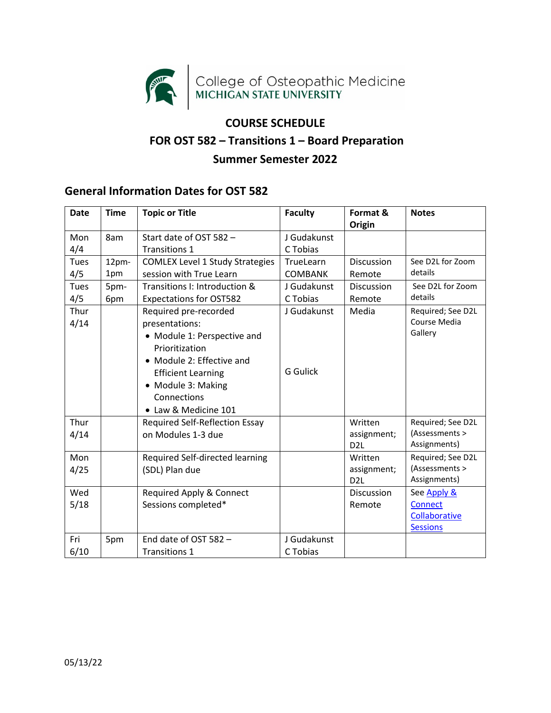

## **COURSE SCHEDULE FOR OST 582 – Transitions 1 – Board Preparation Summer Semester 2022**

## **General Information Dates for OST 582**

<span id="page-0-0"></span>

| <b>Date</b>  | <b>Time</b>  | <b>Topic or Title</b>                                                                                                                                                                                           | <b>Faculty</b>                 | Format &<br>Origin                         | <b>Notes</b>                                                      |
|--------------|--------------|-----------------------------------------------------------------------------------------------------------------------------------------------------------------------------------------------------------------|--------------------------------|--------------------------------------------|-------------------------------------------------------------------|
| Mon<br>4/4   | 8am          | Start date of OST 582 -<br><b>Transitions 1</b>                                                                                                                                                                 | J Gudakunst<br>C Tobias        |                                            |                                                                   |
| Tues<br>4/5  | 12pm-<br>1pm | <b>COMLEX Level 1 Study Strategies</b><br>session with True Learn                                                                                                                                               | TrueLearn<br><b>COMBANK</b>    | <b>Discussion</b><br>Remote                | See D2L for Zoom<br>details                                       |
| Tues<br>4/5  | 5pm-<br>6pm  | Transitions I: Introduction &<br><b>Expectations for OST582</b>                                                                                                                                                 | J Gudakunst<br>C Tobias        | Discussion<br>Remote                       | See D2L for Zoom<br>details                                       |
| Thur<br>4/14 |              | Required pre-recorded<br>presentations:<br>• Module 1: Perspective and<br>Prioritization<br>• Module 2: Effective and<br><b>Efficient Learning</b><br>• Module 3: Making<br>Connections<br>• Law & Medicine 101 | J Gudakunst<br><b>G</b> Gulick | Media                                      | Required; See D2L<br>Course Media<br>Gallery                      |
| Thur<br>4/14 |              | <b>Required Self-Reflection Essay</b><br>on Modules 1-3 due                                                                                                                                                     |                                | Written<br>assignment;<br>D <sub>2</sub> L | Required; See D2L<br>(Assessments ><br>Assignments)               |
| Mon<br>4/25  |              | Required Self-directed learning<br>(SDL) Plan due                                                                                                                                                               |                                | Written<br>assignment;<br>D <sub>2</sub> L | Required; See D2L<br>(Assessments ><br>Assignments)               |
| Wed<br>5/18  |              | Required Apply & Connect<br>Sessions completed*                                                                                                                                                                 |                                | <b>Discussion</b><br>Remote                | See Apply &<br><b>Connect</b><br>Collaborative<br><b>Sessions</b> |
| Fri<br>6/10  | 5pm          | End date of OST 582 -<br><b>Transitions 1</b>                                                                                                                                                                   | J Gudakunst<br>C Tobias        |                                            |                                                                   |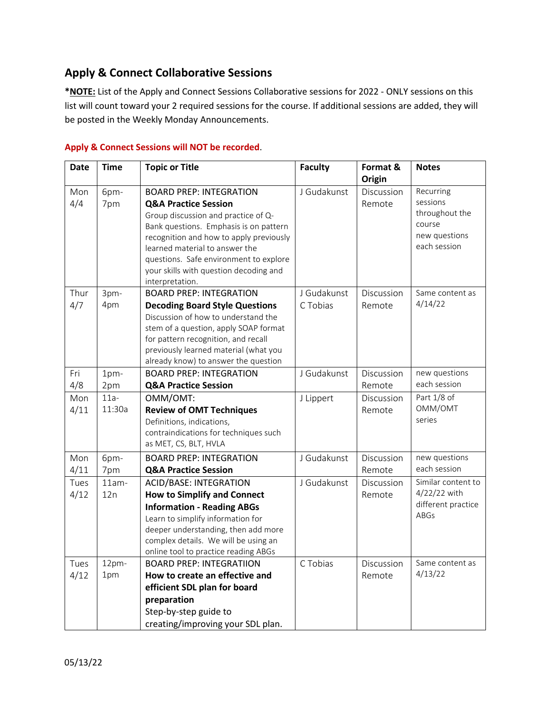## **Apply & Connect Collaborative Sessions**

**\*NOTE:** List of the Apply and Connect Sessions Collaborative sessions for 2022 - ONLY sessions on this list will count toward your 2 required sessions for the course. If additional sessions are added, they will be posted in the Weekly Monday Announcements.

| <b>Date</b> | <b>Time</b> | <b>Topic or Title</b>                                                         | <b>Faculty</b> | Format &   | <b>Notes</b>                       |
|-------------|-------------|-------------------------------------------------------------------------------|----------------|------------|------------------------------------|
|             |             |                                                                               |                | Origin     |                                    |
| Mon<br>4/4  | 6pm-        | <b>BOARD PREP: INTEGRATION</b>                                                | J Gudakunst    | Discussion | Recurring<br>sessions              |
|             | 7pm         | <b>Q&amp;A Practice Session</b>                                               |                | Remote     | throughout the                     |
|             |             | Group discussion and practice of Q-<br>Bank questions. Emphasis is on pattern |                |            | course                             |
|             |             | recognition and how to apply previously                                       |                |            | new questions                      |
|             |             | learned material to answer the                                                |                |            | each session                       |
|             |             | questions. Safe environment to explore                                        |                |            |                                    |
|             |             | your skills with question decoding and                                        |                |            |                                    |
|             |             | interpretation.                                                               |                |            |                                    |
| Thur        | 3pm-        | <b>BOARD PREP: INTEGRATION</b>                                                | J Gudakunst    | Discussion | Same content as                    |
| 4/7         | 4pm         | <b>Decoding Board Style Questions</b>                                         | C Tobias       | Remote     | 4/14/22                            |
|             |             | Discussion of how to understand the                                           |                |            |                                    |
|             |             | stem of a question, apply SOAP format                                         |                |            |                                    |
|             |             | for pattern recognition, and recall                                           |                |            |                                    |
|             |             | previously learned material (what you                                         |                |            |                                    |
|             |             | already know) to answer the question                                          |                |            |                                    |
| Fri         | 1pm-        | <b>BOARD PREP: INTEGRATION</b>                                                | J Gudakunst    | Discussion | new questions<br>each session      |
| 4/8         | 2pm         | <b>Q&amp;A Practice Session</b>                                               |                | Remote     |                                    |
| Mon         | $11a -$     | OMM/OMT:                                                                      | J Lippert      | Discussion | Part 1/8 of                        |
| 4/11        | 11:30a      | <b>Review of OMT Techniques</b>                                               |                | Remote     | OMM/OMT<br>series                  |
|             |             | Definitions, indications,                                                     |                |            |                                    |
|             |             | contraindications for techniques such<br>as MET, CS, BLT, HVLA                |                |            |                                    |
|             |             |                                                                               |                |            |                                    |
| Mon         | 6pm-        | <b>BOARD PREP: INTEGRATION</b>                                                | J Gudakunst    | Discussion | new questions<br>each session      |
| 4/11        | 7pm         | <b>Q&amp;A Practice Session</b>                                               |                | Remote     |                                    |
| Tues        | $11am -$    | <b>ACID/BASE: INTEGRATION</b>                                                 | J Gudakunst    | Discussion | Similar content to                 |
| 4/12        | 12n         | <b>How to Simplify and Connect</b>                                            |                | Remote     | 4/22/22 with<br>different practice |
|             |             | <b>Information - Reading ABGs</b>                                             |                |            | <b>ABGs</b>                        |
|             |             | Learn to simplify information for                                             |                |            |                                    |
|             |             | deeper understanding, then add more                                           |                |            |                                    |
|             |             | complex details. We will be using an<br>online tool to practice reading ABGs  |                |            |                                    |
| Tues        | 12pm-       | <b>BOARD PREP: INTEGRATIION</b>                                               | C Tobias       | Discussion | Same content as                    |
| 4/12        | 1pm         | How to create an effective and                                                |                | Remote     | 4/13/22                            |
|             |             | efficient SDL plan for board                                                  |                |            |                                    |
|             |             | preparation                                                                   |                |            |                                    |
|             |             | Step-by-step guide to                                                         |                |            |                                    |
|             |             | creating/improving your SDL plan.                                             |                |            |                                    |

## **Apply & Connect Sessions will NOT be recorded**.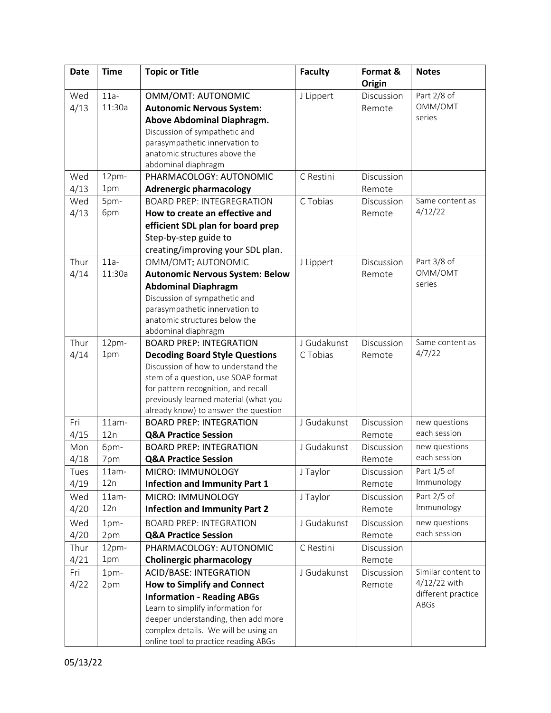| <b>Date</b> | <b>Time</b> | <b>Topic or Title</b>                                 | <b>Faculty</b> | Format &   | <b>Notes</b>       |
|-------------|-------------|-------------------------------------------------------|----------------|------------|--------------------|
|             |             |                                                       |                | Origin     |                    |
| Wed         | $11a-$      | OMM/OMT: AUTONOMIC                                    | J Lippert      | Discussion | Part 2/8 of        |
| 4/13        | 11:30a      | <b>Autonomic Nervous System:</b>                      |                | Remote     | OMM/OMT            |
|             |             | Above Abdominal Diaphragm.                            |                |            | series             |
|             |             | Discussion of sympathetic and                         |                |            |                    |
|             |             | parasympathetic innervation to                        |                |            |                    |
|             |             | anatomic structures above the                         |                |            |                    |
|             |             | abdominal diaphragm                                   |                |            |                    |
| Wed         | 12pm-       | PHARMACOLOGY: AUTONOMIC                               | C Restini      | Discussion |                    |
| 4/13        | 1pm         | <b>Adrenergic pharmacology</b>                        |                | Remote     |                    |
| Wed         | 5pm-        | <b>BOARD PREP: INTEGREGRATION</b>                     | C Tobias       | Discussion | Same content as    |
| 4/13        | 6pm         | How to create an effective and                        |                | Remote     | 4/12/22            |
|             |             | efficient SDL plan for board prep                     |                |            |                    |
|             |             | Step-by-step guide to                                 |                |            |                    |
|             |             | creating/improving your SDL plan.                     |                |            |                    |
| Thur        | $11a-$      | OMM/OMT: AUTONOMIC                                    | J Lippert      | Discussion | Part 3/8 of        |
| 4/14        | 11:30a      | <b>Autonomic Nervous System: Below</b>                |                | Remote     | OMM/OMT            |
|             |             | <b>Abdominal Diaphragm</b>                            |                |            | series             |
|             |             | Discussion of sympathetic and                         |                |            |                    |
|             |             | parasympathetic innervation to                        |                |            |                    |
|             |             | anatomic structures below the                         |                |            |                    |
| Thur        | 12pm-       | abdominal diaphragm<br><b>BOARD PREP: INTEGRATION</b> | J Gudakunst    | Discussion | Same content as    |
| 4/14        | 1pm         | <b>Decoding Board Style Questions</b>                 | C Tobias       | Remote     | 4/7/22             |
|             |             | Discussion of how to understand the                   |                |            |                    |
|             |             | stem of a question, use SOAP format                   |                |            |                    |
|             |             | for pattern recognition, and recall                   |                |            |                    |
|             |             | previously learned material (what you                 |                |            |                    |
|             |             | already know) to answer the question                  |                |            |                    |
| Fri         | $11am -$    | <b>BOARD PREP: INTEGRATION</b>                        | J Gudakunst    | Discussion | new questions      |
| 4/15        | 12n         | <b>Q&amp;A Practice Session</b>                       |                | Remote     | each session       |
| Mon         | 6pm-        | <b>BOARD PREP: INTEGRATION</b>                        | J Gudakunst    | Discussion | new questions      |
| 4/18        | 7pm         | <b>Q&amp;A Practice Session</b>                       |                | Remote     | each session       |
| Tues        | $11am -$    | MICRO: IMMUNOLOGY                                     | J Taylor       | Discussion | Part 1/5 of        |
| 4/19        | 12n         | <b>Infection and Immunity Part 1</b>                  |                | Remote     | Immunology         |
| Wed         | $11am -$    | MICRO: IMMUNOLOGY                                     | J Taylor       | Discussion | Part 2/5 of        |
| 4/20        | 12n         | <b>Infection and Immunity Part 2</b>                  |                | Remote     | Immunology         |
| Wed         | 1pm-        | <b>BOARD PREP: INTEGRATION</b>                        | J Gudakunst    | Discussion | new questions      |
| 4/20        | 2pm         | <b>Q&amp;A Practice Session</b>                       |                | Remote     | each session       |
| Thur        | 12pm-       | PHARMACOLOGY: AUTONOMIC                               | C Restini      | Discussion |                    |
| 4/21        | 1pm         | <b>Cholinergic pharmacology</b>                       |                | Remote     |                    |
| Fri         | $1pm-$      | <b>ACID/BASE: INTEGRATION</b>                         | J Gudakunst    | Discussion | Similar content to |
| 4/22        | 2pm         | <b>How to Simplify and Connect</b>                    |                | Remote     | 4/12/22 with       |
|             |             | <b>Information - Reading ABGs</b>                     |                |            | different practice |
|             |             | Learn to simplify information for                     |                |            | ABGs               |
|             |             | deeper understanding, then add more                   |                |            |                    |
|             |             | complex details. We will be using an                  |                |            |                    |
|             |             | online tool to practice reading ABGs                  |                |            |                    |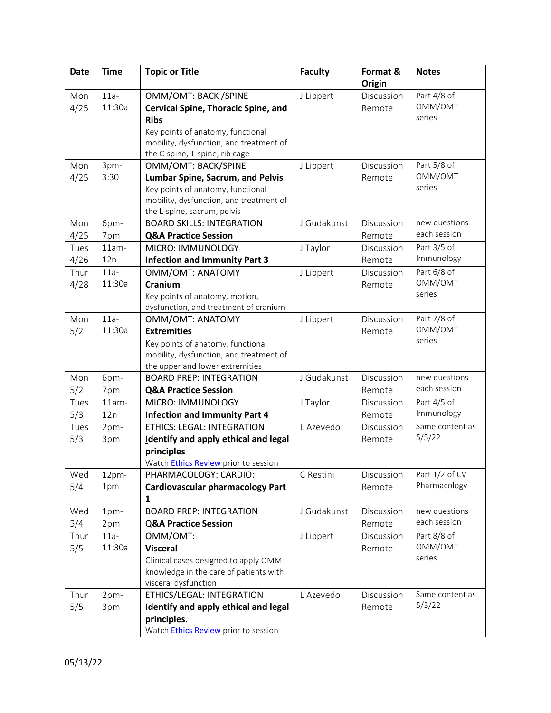| <b>Date</b> | <b>Time</b> | <b>Topic or Title</b>                       | <b>Faculty</b> | Format &<br>Origin | <b>Notes</b>    |
|-------------|-------------|---------------------------------------------|----------------|--------------------|-----------------|
| Mon         | $11a -$     | OMM/OMT: BACK /SPINE                        |                | Discussion         | Part 4/8 of     |
| 4/25        | 11:30a      | <b>Cervical Spine, Thoracic Spine, and</b>  | J Lippert      | Remote             | OMM/OMT         |
|             |             | <b>Ribs</b>                                 |                |                    | series          |
|             |             | Key points of anatomy, functional           |                |                    |                 |
|             |             | mobility, dysfunction, and treatment of     |                |                    |                 |
|             |             | the C-spine, T-spine, rib cage              |                |                    |                 |
| Mon         | 3pm-        | OMM/OMT: BACK/SPINE                         | J Lippert      | Discussion         | Part 5/8 of     |
| 4/25        | 3:30        | Lumbar Spine, Sacrum, and Pelvis            |                | Remote             | OMM/OMT         |
|             |             | Key points of anatomy, functional           |                |                    | series          |
|             |             | mobility, dysfunction, and treatment of     |                |                    |                 |
|             |             | the L-spine, sacrum, pelvis                 |                |                    |                 |
| Mon         | 6pm-        | <b>BOARD SKILLS: INTEGRATION</b>            | J Gudakunst    | Discussion         | new questions   |
| 4/25        | 7pm         | <b>Q&amp;A Practice Session</b>             |                | Remote             | each session    |
| Tues        | $11am -$    | MICRO: IMMUNOLOGY                           | J Taylor       | Discussion         | Part 3/5 of     |
| 4/26        | 12n         | <b>Infection and Immunity Part 3</b>        |                | Remote             | Immunology      |
| Thur        | $11a-$      | OMM/OMT: ANATOMY                            | J Lippert      | Discussion         | Part 6/8 of     |
| 4/28        | 11:30a      | Cranium                                     |                | Remote             | OMM/OMT         |
|             |             | Key points of anatomy, motion,              |                |                    | series          |
|             |             | dysfunction, and treatment of cranium       |                |                    |                 |
| Mon         | $11a-$      | <b>OMM/OMT: ANATOMY</b>                     | J Lippert      | Discussion         | Part 7/8 of     |
| 5/2         | 11:30a      | <b>Extremities</b>                          |                | Remote             | OMM/OMT         |
|             |             | Key points of anatomy, functional           |                |                    | series          |
|             |             | mobility, dysfunction, and treatment of     |                |                    |                 |
|             |             | the upper and lower extremities             |                |                    |                 |
| Mon         | 6pm-        | <b>BOARD PREP: INTEGRATION</b>              | J Gudakunst    | Discussion         | new questions   |
| 5/2         | 7pm         | <b>Q&amp;A Practice Session</b>             |                | Remote             | each session    |
| Tues        | $11am -$    | MICRO: IMMUNOLOGY                           | J Taylor       | Discussion         | Part 4/5 of     |
| 5/3         | 12n         | <b>Infection and Immunity Part 4</b>        |                | Remote             | Immunology      |
| Tues        | 2pm-        | <b>ETHICS: LEGAL: INTEGRATION</b>           | L Azevedo      | Discussion         | Same content as |
| 5/3         | 3pm         | <b>Identify and apply ethical and legal</b> |                | Remote             | 5/5/22          |
|             |             | principles                                  |                |                    |                 |
|             |             | Watch <b>Ethics Review</b> prior to session |                |                    |                 |
| Wed         | 12pm-       | PHARMACOLOGY: CARDIO:                       | C Restini      | Discussion         | Part 1/2 of CV  |
| 5/4         | 1pm         | <b>Cardiovascular pharmacology Part</b>     |                | Remote             | Pharmacology    |
|             |             | 1                                           |                |                    |                 |
| Wed         | 1pm-        | <b>BOARD PREP: INTEGRATION</b>              | J Gudakunst    | Discussion         | new questions   |
| 5/4         | 2pm         | <b>Q&amp;A Practice Session</b>             |                | Remote             | each session    |
| Thur        | $11a-$      | OMM/OMT:                                    | J Lippert      | Discussion         | Part 8/8 of     |
| 5/5         | 11:30a      | <b>Visceral</b>                             |                | Remote             | OMM/OMT         |
|             |             | Clinical cases designed to apply OMM        |                |                    | series          |
|             |             | knowledge in the care of patients with      |                |                    |                 |
|             |             | visceral dysfunction                        |                |                    |                 |
| Thur        | 2pm-        | ETHICS/LEGAL: INTEGRATION                   | L Azevedo      | Discussion         | Same content as |
| 5/5         | 3pm         | Identify and apply ethical and legal        |                | Remote             | 5/3/22          |
|             |             | principles.                                 |                |                    |                 |
|             |             | Watch <b>Ethics Review</b> prior to session |                |                    |                 |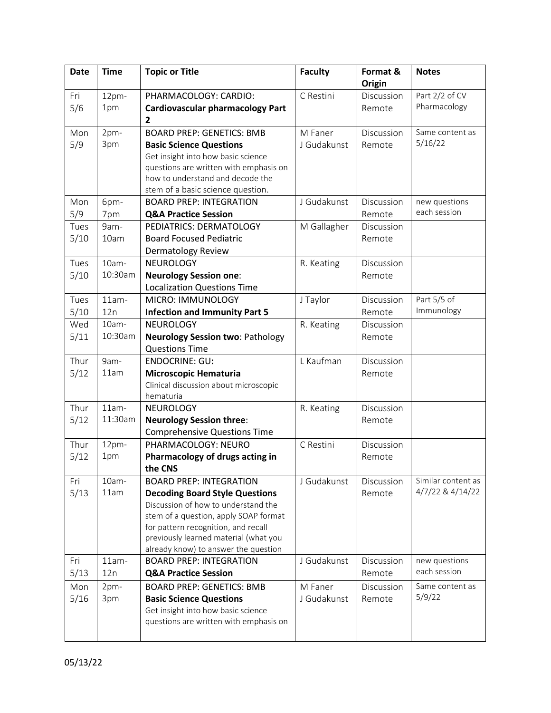| <b>Date</b> | <b>Time</b>  | <b>Topic or Title</b>                                                        | <b>Faculty</b> | Format &<br>Origin | <b>Notes</b>       |
|-------------|--------------|------------------------------------------------------------------------------|----------------|--------------------|--------------------|
| Fri         | 12pm-        | PHARMACOLOGY: CARDIO:                                                        | C Restini      | Discussion         | Part 2/2 of CV     |
| 5/6         | 1pm          | <b>Cardiovascular pharmacology Part</b>                                      |                | Remote             | Pharmacology       |
|             |              | $\mathbf{2}$                                                                 |                |                    |                    |
| Mon         | 2pm-         | <b>BOARD PREP: GENETICS: BMB</b>                                             | M Faner        | Discussion         | Same content as    |
| 5/9         | 3pm          | <b>Basic Science Questions</b>                                               | J Gudakunst    | Remote             | 5/16/22            |
|             |              | Get insight into how basic science                                           |                |                    |                    |
|             |              | questions are written with emphasis on                                       |                |                    |                    |
|             |              | how to understand and decode the                                             |                |                    |                    |
|             |              | stem of a basic science question.                                            |                |                    |                    |
| Mon         | 6pm-         | <b>BOARD PREP: INTEGRATION</b>                                               | J Gudakunst    | Discussion         | new questions      |
| 5/9         | 7pm          | <b>Q&amp;A Practice Session</b>                                              |                | Remote             | each session       |
| Tues        | 9am-         | PEDIATRICS: DERMATOLOGY                                                      | M Gallagher    | Discussion         |                    |
| 5/10        | 10am         | <b>Board Focused Pediatric</b>                                               |                | Remote             |                    |
|             |              | Dermatology Review                                                           |                |                    |                    |
| Tues        | 10am-        | <b>NEUROLOGY</b>                                                             | R. Keating     | Discussion         |                    |
| 5/10        | 10:30am      | <b>Neurology Session one:</b>                                                |                | Remote             |                    |
|             |              | <b>Localization Questions Time</b>                                           |                |                    | Part 5/5 of        |
| Tues        | $11am -$     | MICRO: IMMUNOLOGY                                                            | J Taylor       | Discussion         | Immunology         |
| 5/10<br>Wed | 12n<br>10am- | <b>Infection and Immunity Part 5</b><br><b>NEUROLOGY</b>                     |                | Remote             |                    |
|             | 10:30am      |                                                                              | R. Keating     | Discussion         |                    |
| 5/11        |              | <b>Neurology Session two: Pathology</b><br><b>Questions Time</b>             |                | Remote             |                    |
| Thur        | 9am-         | <b>ENDOCRINE: GU:</b>                                                        | L Kaufman      | Discussion         |                    |
| 5/12        | 11am         | <b>Microscopic Hematuria</b>                                                 |                | Remote             |                    |
|             |              | Clinical discussion about microscopic                                        |                |                    |                    |
|             |              | hematuria                                                                    |                |                    |                    |
| Thur        | $11am -$     | <b>NEUROLOGY</b>                                                             | R. Keating     | Discussion         |                    |
| 5/12        | 11:30am      | <b>Neurology Session three:</b>                                              |                | Remote             |                    |
|             |              | <b>Comprehensive Questions Time</b>                                          |                |                    |                    |
| Thur        | 12pm-        | PHARMACOLOGY: NEURO                                                          | C Restini      | Discussion         |                    |
| 5/12        | 1pm          | Pharmacology of drugs acting in                                              |                | Remote             |                    |
|             |              | the CNS                                                                      |                |                    |                    |
| Fri         | $10am -$     | <b>BOARD PREP: INTEGRATION</b>                                               | J Gudakunst    | Discussion         | Similar content as |
| 5/13        | 11am         | <b>Decoding Board Style Questions</b>                                        |                | Remote             | 4/7/22 & 4/14/22   |
|             |              | Discussion of how to understand the                                          |                |                    |                    |
|             |              | stem of a question, apply SOAP format                                        |                |                    |                    |
|             |              | for pattern recognition, and recall<br>previously learned material (what you |                |                    |                    |
|             |              | already know) to answer the question                                         |                |                    |                    |
| Fri         | $11am -$     | <b>BOARD PREP: INTEGRATION</b>                                               | J Gudakunst    | Discussion         | new questions      |
| 5/13        | 12n          | <b>Q&amp;A Practice Session</b>                                              |                | Remote             | each session       |
| Mon         | 2pm-         | <b>BOARD PREP: GENETICS: BMB</b>                                             | M Faner        | Discussion         | Same content as    |
| 5/16        | 3pm          | <b>Basic Science Questions</b>                                               | J Gudakunst    | Remote             | 5/9/22             |
|             |              | Get insight into how basic science                                           |                |                    |                    |
|             |              | questions are written with emphasis on                                       |                |                    |                    |
|             |              |                                                                              |                |                    |                    |